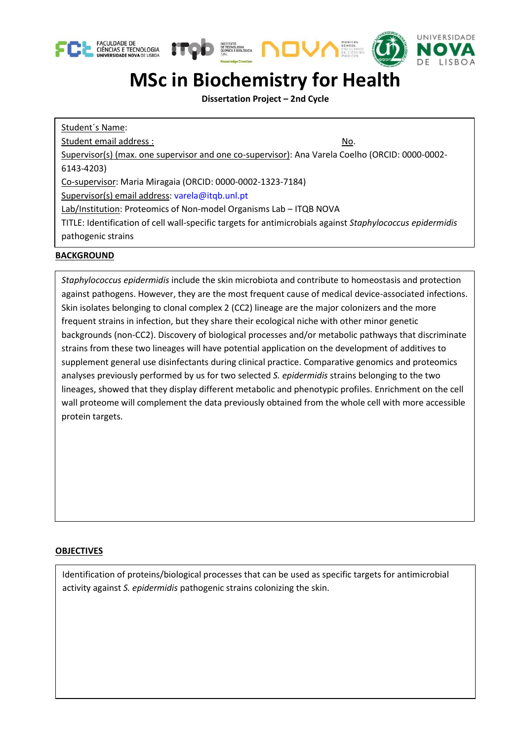





## **MSc in Biochemistry for Health**

**Dissertation Project – 2nd Cycle**

Student´s Name: Student email address : No. Supervisor(s) (max. one supervisor and one co-supervisor): Ana Varela Coelho (ORCID: [0000-0002-](http://orcid.org/0000-0002-6143-4203) [6143-4203\)](http://orcid.org/0000-0002-6143-4203) Co-supervisor: Maria Miragaia (ORCID: 0000-0002-1323-7184) Supervisor(s) email address: [varela@itqb.unl.pt](mailto:varela@itqb.unl.pt) Lab/Institution: Proteomics of Non-model Organisms Lab – ITQB NOVA TITLE: Identification of cell wall-specific targets for antimicrobials against *Staphylococcus epidermidis* pathogenic strains

## **BACKGROUND**

*Staphylococcus epidermidis* include the skin microbiota and contribute to homeostasis and protection against pathogens. However, they are the most frequent cause of medical device-associated infections. Skin isolates belonging to clonal complex 2 (CC2) lineage are the major colonizers and the more frequent strains in infection, but they share their ecological niche with other minor genetic backgrounds (non-CC2). Discovery of biological processes and/or metabolic pathways that discriminate strains from these two lineages will have potential application on the development of additives to supplement general use disinfectants during clinical practice. Comparative genomics and proteomics analyses previously performed by us for two selected *S. epidermidis* strains belonging to the two lineages, showed that they display different metabolic and phenotypic profiles. Enrichment on the cell wall proteome will complement the data previously obtained from the whole cell with more accessible protein targets.

## **OBJECTIVES**

Identification of proteins/biological processes that can be used as specific targets for antimicrobial activity against *S. epidermidis* pathogenic strains colonizing the skin.